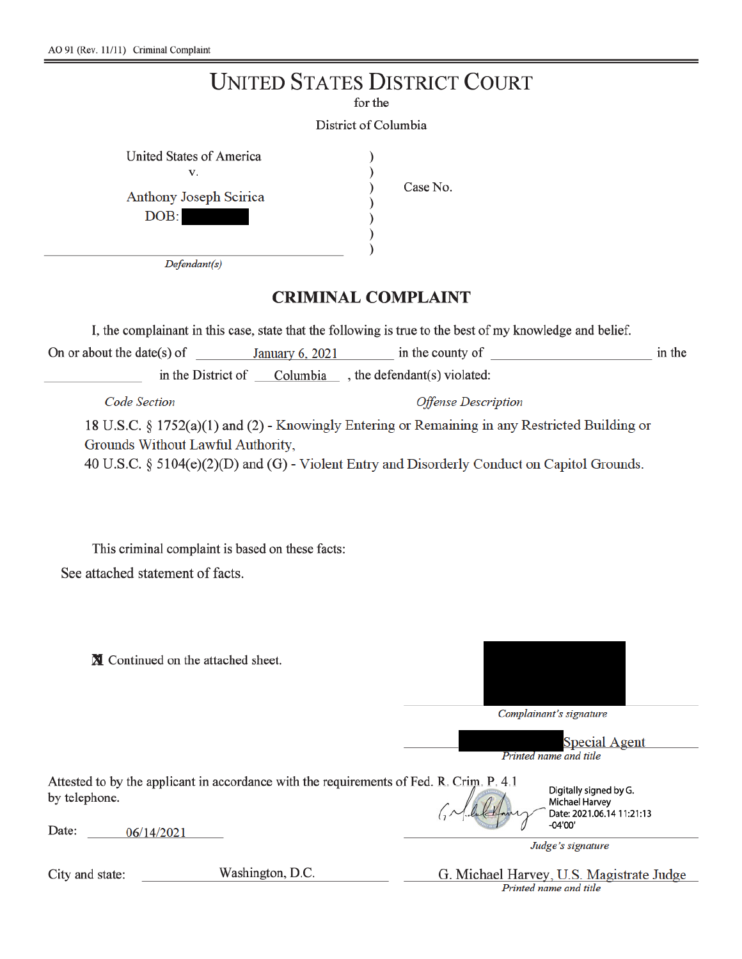| <b>UNITED STATES DISTRICT COURT</b><br>for the<br>District of Columbia |          |
|------------------------------------------------------------------------|----------|
| United States of America<br>V.<br>Anthony Joseph Scirica<br>DOB:       | Case No. |
| Defendant(s)                                                           |          |

## **CRIMINAL COMPLAINT**

I, the complainant in this case, state that the following is true to the best of my knowledge and belief.

On or about the date(s) of  $\qquad$  January 6, 2021  $\qquad$  in the county of in the in the District of Columbia , the defendant(s) violated:

**Code Section** 

**Offense Description** 

18 U.S.C. § 1752(a)(1) and (2) - Knowingly Entering or Remaining in any Restricted Building or Grounds Without Lawful Authority, 40 U.S.C. § 5104(e)(2)(D) and (G) - Violent Entry and Disorderly Conduct on Capitol Grounds.

This criminal complaint is based on these facts: See attached statement of facts.

X Continued on the attached sheet. Complainant's signature <u>Special Agent</u> Printed name and title Attested to by the applicant in accordance with the requirements of Fed. R. Crim. P. 4.1 Digitally signed by G. by telephone. **Michael Harvey** Date: 2021.06.14 11:21:13  $-04'00'$ Date:  $06/14/2021$ Judge's signature Washington, D.C. G. Michael Harvey, U.S. Magistrate Judge City and state:

Printed name and title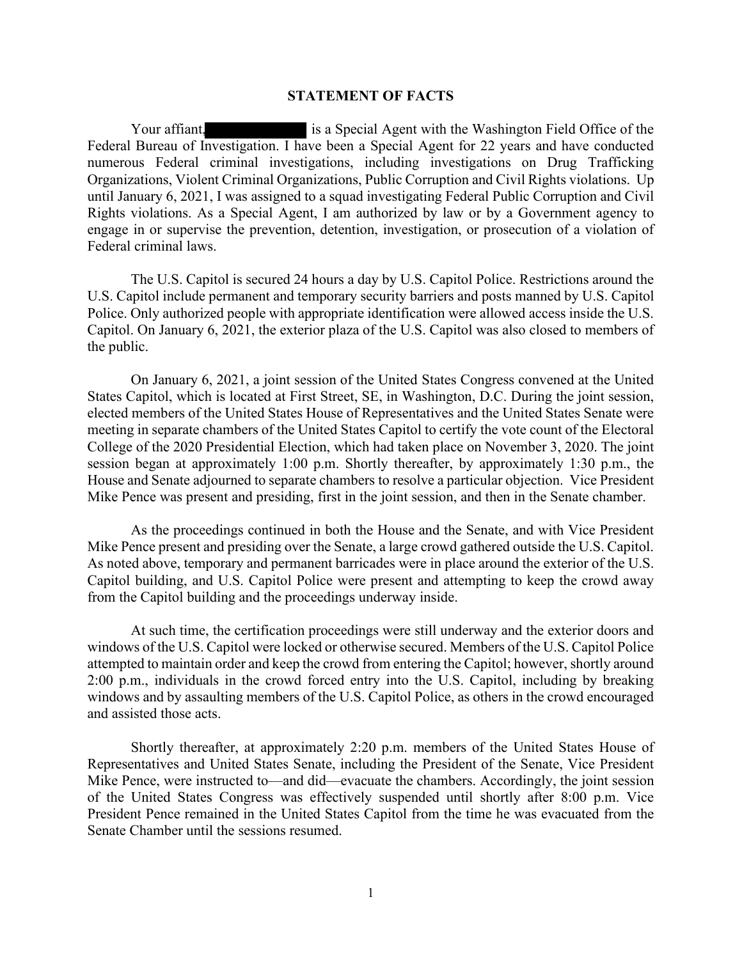## STATEMENT OF FACTS

Your affiant, is a Special Agent with the Washington Field Office of the Federal Bureau of Investigation. I have been a Special Agent for 22 years and have conducted numerous Federal criminal investigations, including investigations on Drug Trafficking Organizations, Violent Criminal Organizations, Public Corruption and Civil Rights violations. Up until January 6, 2021, I was assigned to a squad investigating Federal Public Corruption and Civil **STATEMENT OF FACTS**<br>
Your affiant<br>
is a Special Agent with the Washington Field Office of the<br>
Federal Bureau of Investigation. I have been a Special Agent for 22 years and have conducted<br>
numerous Foderal criminal organi engage in or supervise the prevention, detention, investigation, or prosecution of a violation of Federal criminal laws.

The U.S. Capitol is secured 24 hours a day by U.S. Capitol Police. Restrictions around the U.S. Capitol include permanent and temporary security barriers and posts manned by U.S. Capitol Police. Only authorized people with appropriate identification were allowed access inside the U.S. Capitol. On January 6, 2021, the exterior plaza of the U.S. Capitol was also closed to members of the public.

On January 6, 2021, a joint session of the United States Congress convened at the United States Capitol, which is located at First Street, SE, in Washington, D.C. During the joint session, elected members of the United States House of Representatives and the United States Senate were meeting in separate chambers of the United States Capitol to certify the vote count of the Electoral College of the 2020 Presidential Election, which had taken place on November 3, 2020. The joint session began at approximately 1:00 p.m. Shortly thereafter, by approximately 1:30 p.m., the House and Senate adjourned to separate chambers to resolve a particular objection. Vice President Mike Pence was present and presiding, first in the joint session, and then in the Senate chamber. on) such that is located at First Street, the aniversal constrained the certification of Dalamary 6, 2021, a joint session of the U.S. Capitol was also closed to members of lic.<br>Con January 6, 2021, a joint session of the

As the proceedings continued in both the House and the Senate, and with Vice President Mike Pence present and presiding over the Senate, a large crowd gathered outside the U.S. Capitol. As noted above, temporary and permanent barricades were in place around the exterior of the U.S. Capitol building, and U.S. Capitol Police were present and attempting to keep the crowd away from the Capitol building and the proceedings underway inside.

windows of the U.S. Capitol were locked or otherwise secured. Members of the U.S. Capitol Police attempted to maintain order and keep the crowd from entering the Capitol; however, shortly around 2:00 p.m., individuals in the crowd forced entry into the U.S. Capitol, including by breaking windows and by assaulting members of the U.S. Capitol Police, as others in the crowd encouraged and assisted those acts.

Shortly thereafter, at approximately 2:20 p.m. members of the United States House of Representatives and United States Senate, including the President of the Senate, Vice President Mike Pence, were instructed to—and did—evacuate the chambers. Accordingly, the joint session of the United States Congress was effectively suspended until shortly after 8:00 p.m. Vice President Pence remained in the United States Capitol from the time he was evacuated from the Senate Chamber until the sessions resumed.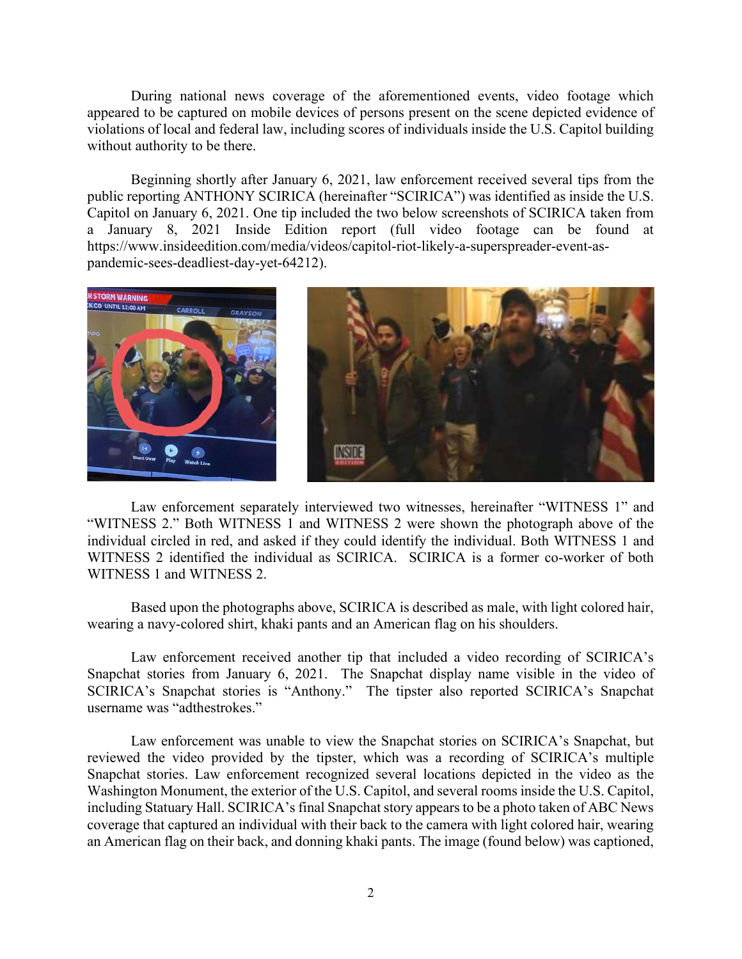During national news coverage of the aforementioned events, video footage which appeared to be captured on mobile devices of persons present on the scene depicted evidence of violations of local and federal law, including scores of individuals inside the U.S. Capitol building without authority to be there.

Beginning shortly after January 6, 2021, law enforcement received several tips from the public reporting ANTHONY SCIRICA (hereinafter "SCIRICA") was identified as inside the U.S. Capitol on January 6, 2021. One tip included the two below screenshots of SCIRICA taken from a January 8, 2021 Inside Edition report (full video footage can be found at https://www.insideedition.com/media/videos/capitol-riot-likely-a-superspreader-event-aspandemic-sees-deadliest-day-yet-64212).



 Law enforcement separately interviewed two witnesses, hereinafter "WITNESS 1" and "WITNESS 2." Both WITNESS 1 and WITNESS 2 were shown the photograph above of the individual circled in red, and asked if they could identify the individual. Both WITNESS 1 and WITNESS 2 identified the individual as SCIRICA. SCIRICA is a former co-worker of both WITNESS 1 and WITNESS 2.

wearing a navy-colored shirt, khaki pants and an American flag on his shoulders.

Law enforcement received another tip that included a video recording of SCIRICA's Snapchat stories from January 6, 2021. The Snapchat display name visible in the video of SCIRICA's Snapchat stories is "Anthony." The tipster also reported SCIRICA's Snapchat username was "adthestrokes."

Law enforcement was unable to view the Snapchat stories on SCIRICA's Snapchat, but reviewed the video provided by the tipster, which was a recording of SCIRICA's multiple Snapchat stories. Law enforcement recognized several locations depicted in the video as the Washington Monument, the exterior of the U.S. Capitol, and several rooms inside the U.S. Capitol, including Statuary Hall. SCIRICA's final Snapchat story appears to be a photo taken of ABC News coverage that captured an individual with their back to the camera with light colored hair, wearing an American flag on their back, and donning khaki pants. The image (found below) was captioned,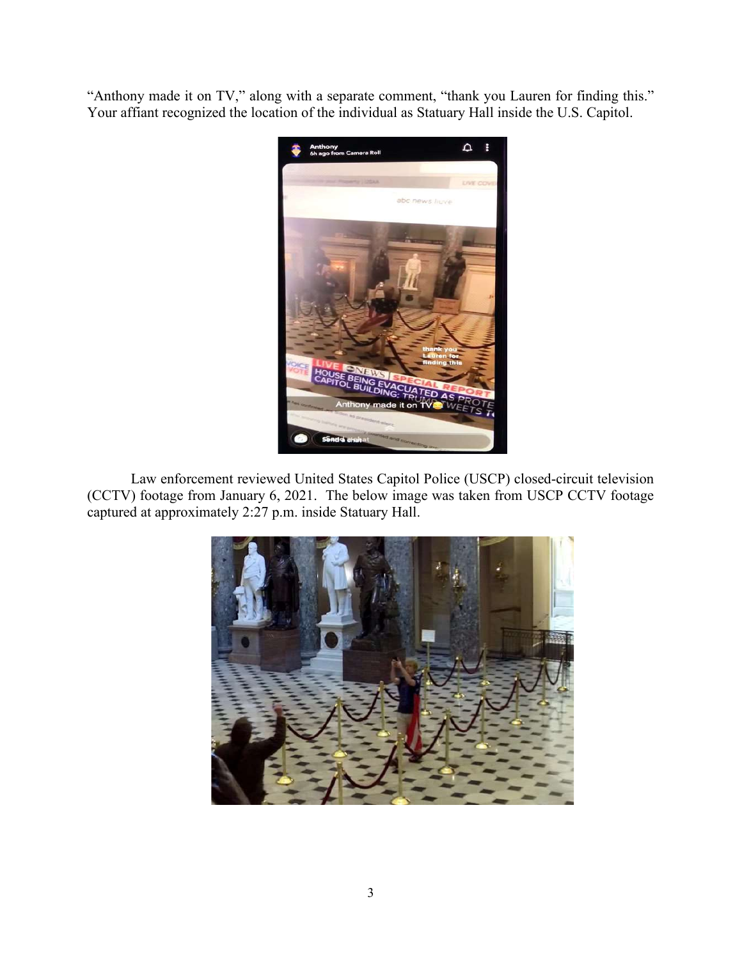"Anthony made it on TV," along with a separate comment, "thank you Lauren for finding this." Your affiant recognized the location of the individual as Statuary Hall inside the U.S. Capitol.



Law enforcement reviewed United States Capitol Police (USCP) closed-circuit television (CCTV) footage from January 6, 2021. The below image was taken from USCP CCTV footage captured at approximately 2:27 p.m. inside Statuary Hall.

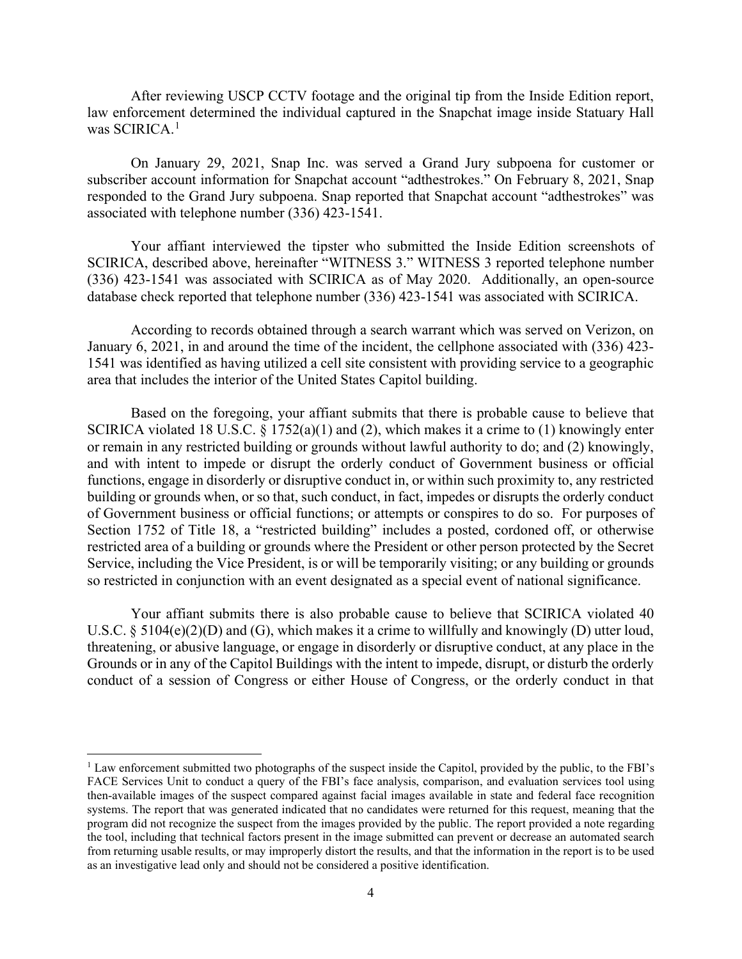After reviewing USCP CCTV footage and the original tip from the Inside Edition report, After reviewing USCP CCTV footage and the original tip from the Inside Edition report,<br>law enforcement determined the individual captured in the Snapchat image inside Statuary Hall<br>was SCIRICA.<sup>1</sup><br>On January 29, 2021, Snap was SCIRICA.<sup>1</sup>

On January 29, 2021, Snap Inc. was served a Grand Jury subpoena for customer or subscriber account information for Snapchat account "adthestrokes." On February 8, 2021, Snap After reviewing USCP CCTV footage and the original tip from the Inside Edition report,<br>law enforcement determined the individual captured in the Snapchat image inside Statuary Hall<br>was SCIRICA.<sup>1</sup><br>On January 29, 2021, Snap After reviewing USCP CCTV footage and the original tip from the Inside Edition report,<br>
law enforcement determined the individual captured in the Snapchat image inside Statuary Hall<br>
was SCIRICA.<sup>1</sup><br>
On January 29, 2021, S associated with telephone number (336) 423-1541.

Your affiant interviewed the tipster who submitted the Inside Edition screenshots of SCIRICA, described above, hereinafter "WITNESS 3." WITNESS 3 reported telephone number (336) 423-1541 was associated with SCIRICA as of May 2020. Additionally, an open-source database check reported that telephone number (336) 423-1541 was associated with SCIRICA.

According to records obtained through a search warrant which was served on Verizon, on January 6, 2021, in and around the time of the incident, the cellphone associated with (336) 423- 1541 was identified as having utilized a cell site consistent with providing service to a geographic area that includes the interior of the United States Capitol building.

Based on the foregoing, your affiant submits that there is probable cause to believe that SCIRICA violated 18 U.S.C.  $\S 1752(a)(1)$  and (2), which makes it a crime to (1) knowingly enter or remain in any restricted building or grounds without lawful authority to do; and (2) knowingly, and with intent to impede or disrupt the orderly conduct of Government business or official functions, engage in disorderly or disruptive conduct in, or within such proximity to, any restricted building or grounds when, or so that, such conduct, in fact, impedes or disrupts the orderly conduct of Government business or official functions; or attempts or conspires to do so. For purposes of Section 1752 of Title 18, a "restricted building" includes a posted, cordoned off, or otherwise restricted area of a building or grounds where the President or other person protected by the Secret SCIRICA, described above, hereinafter "WITNESS 3." WITNESS 3 reported telephone number<br>(336) 423-1541 was associated with SCIRICA as of May 2020. Additionally, an open-source<br>database chock reported that telephone number so restricted in conjunction with an event designated as a special event of national significance.

Your affiant submits there is also probable cause to believe that SCIRICA violated 40 U.S.C. § 5104(e)(2)(D) and (G), which makes it a crime to willfully and knowingly (D) utter loud, threatening, or abusive language, or engage in disorderly or disruptive conduct, at any place in the Grounds or in any of the Capitol Buildings with the intent to impede, disrupt, or disturb the orderly conduct of a session of Congress or either House of Congress, or the orderly conduct in that 1

Law enforcement submitted two photographs of the suspect inside the Capitol, provided by the public, to the FBI's FACE Services Unit to conduct a query of the FBI's face analysis, comparison, and evaluation services tool using then-available images of the suspect compared against facial images available in state and federal face recognition systems. The report that was generated indicated that no candidates were returned for this request, meaning that the program did not recognize the suspect from the images provided by the public. The report provided a note regarding the tool, including that technical factors present in the image submitted can prevent or decrease an automated search from returning usable results, or may improperly distort the results, and that the information in the report is to be used as an investigative lead only and should not be considered a positive identification.